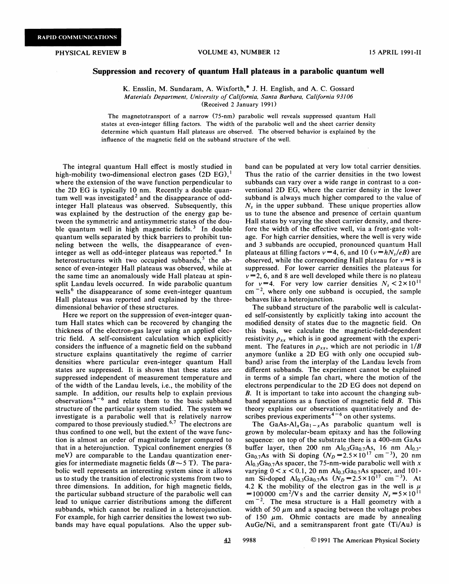## Suppression and recovery of quantum Hall plateaus in a parabolic quantum well

K. Ensslin, M. Sundaram, A. Wixforth,\* J. H. English, and A. C. Gossard Materials Department, University of California, Santa Barbara, California 93106 (Received 2 January 1991)

The magnetotransport of a narrow (75-nm) parabolic well reveals suppressed quantum Hall states at even-integer filling factors. The width of the parabolic well and the sheet carrier density determine which quantum Hall plateaus are observed. The observed behavior is explained by the influence of the magnetic field on the subband structure of the well.

The integral quantum Hall effect is mostly studied in high-mobility two-dimensional electron gases  $(2D \tEG)$ , where the extension of the wave function perpendicular to the 2D EG is typically 10 nm. Recently a double quantum well was investigated<sup>2</sup> and the disappearance of oddinteger Hall plateaus was observed. Subsequently, this was explained by the destruction of the energy gap between the symmetric and antisymmetric states of the double quantum well in high magnetic fields.<sup>3</sup> In double quantum wells separated by thick barriers to prohibit tunneling between the wells, the disappearance of eveninteger as well as odd-integer plateaus was reported.<sup>4</sup> In heterostructures with two occupied subbands,  $5$  the absence of even-integer Hall plateaus was observed, while at the same time an anomalously wide Hall plateau at spinsplit Landau levels occurred. In wide parabolic quantum wells<sup>6</sup> the disappearance of some even-integer quantum Hall plateaus was reported and explained by the threedimensional behavior of these structures.

Here we report on the suppression of even-integer quantum Hall states which can be recovered by changing the thickness of the electron-gas layer using an applied electric field. A self-consistent calculation which explicitly considers the infiuence of a magnetic field on the subband structure explains quantitatively the regime of carrier densities where particular even-integer quantum Hall states are suppressed. It is shown that these states are suppressed independent of measurement temperature and of the width of the Landau levels, i.e., the mobility of the sample. In addition, our results help to explain previous observations<sup> $4-6$ </sup> and relate them to the basic subband structure of the particular system studied. The system we investigate is a parabolic well that is relatively narrow compared to those previously studied.  $6.7$  The electrons are thus confined to one well, but the extent of the wave function is almost an order of magnitude larger compared to that in a heterojunction. Typical confinement energies (8 meV) are comparable to the Landau quantization energies for intermediate magnetic fields  $(B \sim 5 T)$ . The parabolic well represents an interesting system since it allows us to study the transition of electronic systems from two to three dimensions. In addition, for high magnetic fields, the particular subband structure of the parabolic well can lead to unique carrier distributions among the different subbands, which cannot be realized in a heterojunction. For example, for high carrier densities the lowest two subbands may have equal populations. Also the upper subband can be populated at very low total carrier densities. Thus the ratio of the carrier densities in the two lowest subbands can vary over a wide range in contrast to a conventional 2D EG, where the carrier density in the lower subband is always much higher compared to the value of  $N<sub>s</sub>$  in the upper subband. These unique properties allow us to tune the absence and presence of certain quantum Hall states by varying the sheet carrier density, and therefore the width of the effective well, via a front-gate voltage. For high carrier densities, where the well is very wide and 3 subbands are occupied, pronounced quantum Hall plateaus at filling factors  $v = 4$ , 6, and 10 ( $v = hN_s/eB$ ) are observed, while the corresponding Hall plateau for  $v=8$  is suppressed. For lower carrier densities the plateaus for  $v = 2$ , 6, and 8 are well developed while there is no plateau for  $v=4$ . For very low carrier densities  $N_s < 2 \times 10^{11}$  $cm^{-2}$ , where only one subband is occupied, the sample behaves like a heterojunction.

The subband structure of the parabolic well is calculated self-consistently by explicitly taking into account the modified density of states due to the magnetic field. On this basis, we calculate the magnetic-field-dependent resistivity  $\rho_{xx}$  which is in good agreement with the experiment. The features in  $\rho_{xx}$ , which are not periodic in  $1/B$ anymore (unlike a 2D EG with only one occupied subband) arise from the interplay of the Landau levels from different subbands. The experiment cannot be explained in terms of a simple fan chart, where the motion of the electrons perpendicular to the 2D EG does not depend on 8. It is important to take into account the changing subband separations as a function of magnetic field B. This theory explains our observations quantitatively and describes previous experiments<sup> $4-6$ </sup> on other systems.

The GaAs-Al<sub>x</sub>Ga<sub>1-x</sub>As parabolic quantum well is grown by molecular-beam epitaxy and has the following sequence: on top of the substrate there is a 400-nm GaAs buffer layer, then 200 nm  $Al_{0.3}Ga_{0.7}As$ , 16 nm  $Al_{0.3}$ -<br>Ga<sub>0.7</sub>As with Si doping  $(N_D = 2.5 \times 10^{17} \text{ cm}^{-3})$ , 20 nm  $\text{Al}_{0.3}\text{Ga}_{0.7}\text{As}$  spacer, the 75-nm-wide parabolic well with x varying  $0 < x < 0.1$ , 20 nm Al<sub>0.3</sub>Ga<sub>0.7</sub>As spacer, and 101nm Si-doped Al<sub>0.3</sub>Ga<sub>0.7</sub>As  $(N_D = 2.5 \times 10^{17} \text{ cm}^{-3})$ . At 4.2 K the mobility of the electron gas in the well is  $\mu$ =100000 cm<sup>2</sup>/Vs and the carrier density  $N_s = 5 \times 10^{11}$  $cm^{-2}$ . The mesa structure is a Hall geometry with a width of 50  $\mu$ m and a spacing between the voltage probes of 150  $\mu$ m. Ohmic contacts are made by annealing AuGe/Ni, and a semitransparent front gate (Ti/Au) is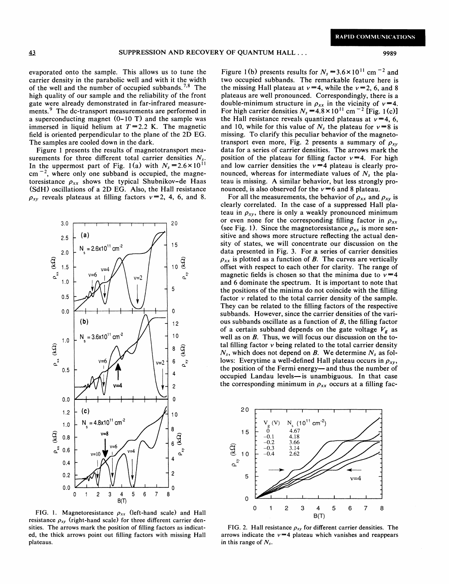evaporated onto the sample. This allows us to tune the carrier density in the parabolic well and with it the width of the well and the number of occupied subbands.<sup>7,8</sup> The high quality of our sample and the reliability of the front gate were already demonstrated in far-infrared measurements.<sup>9</sup> The dc-transport measurements are performed in a superconducting magnet (0-10 T) and the sample was immersed in liquid helium at  $T=2.2$  K. The magnetic field is oriented perpendicular to the plane of the 2D EG. The samples are cooled down in the dark.

Figure <sup>1</sup> presents the results of magnetotransport measurements for three different total carrier densities  $N_s$ . In the uppermost part of Fig. 1(a) with  $N_s = 2.6 \times 10^{11}$  $cm^{-2}$ , where only one subband is occupied, the magnetoresistance  $\rho_{xx}$  shows the typical Shubnikov-de Haas (SdH) oscillations of a 2D EG. Also, the Hall resistance  $\rho_{xy}$  reveals plateaus at filling factors  $v=2$ , 4, 6, and 8.



FIG. 1. Magnetoresistance  $\rho_{xx}$  (left-hand scale) and Hall resistance  $\rho_{xy}$  (right-hand scale) for three different carrier densities. The arrows mark the position of filling factors as indicated, the thick arrows point out filling factors with missing Hall plateaus.

Figure 1(b) presents results for  $N_s = 3.6 \times 10^{11}$  cm <sup>-2</sup> and two occupied subbands. The remarkable feature here is the missing Hall plateau at  $v=4$ , while the  $v=2$ , 6, and 8 plateaus are well pronounced. Correspondingly, there is a double-minimum structure in  $\rho_{xx}$  in the vicinity of  $v = 4$ . For high carrier densities  $N_s = 4.8 \times 10^{11}$  cm<sup>-2</sup> [Fig. 1(c)] the Hall resistance reveals quantized plateaus at  $v=4, 6$ , and 10, while for this value of  $N_s$  the plateau for  $v = 8$  is missing. To clarify this peculiar behavior of the magnetotransport even more, Fig. 2 presents a summary of  $\rho_{xy}$ data for a series of carrier densities. The arrows mark the position of the plateau for filling factor  $v=4$ . For high and low carrier densities the  $v=4$  plateau is clearly pronounced, whereas for intermediate values of  $N_s$  the plateau is missing. A similar behavior, but less strongly pronounced, is also observed for the  $v=6$  and 8 plateau.

For all the measurements, the behavior of  $\rho_{xx}$  and  $\rho_{xy}$  is clearly correlated. In the case of a suppressed Hall plateau in  $\rho_{xy}$ , there is only a weakly pronounced minimum or even none for the corresponding filling factor in  $\rho_{xx}$ (see Fig. 1). Since the magnetoresistance  $\rho_{xx}$  is more sensitive and shows more structure reflecting the actual density of states, we will concentrate our discussion on the data presented in Fig. 3. For a series of carrier densities  $\rho_{xx}$  is plotted as a function of B. The curves are vertically offset with respect to each other for clarity. The range of magnetic fields is chosen so that the minima due to  $v = 4$ and 6 dominate the spectrum. It is important to note that the positions of the minima do not coincide with the filling factor  $\nu$  related to the total carrier density of the sample. They can be related to the filling factors of the respective subbands. However, since the carrier densities of the various subbands oscillate as a function of  $B$ , the filling factor of a certain subband depends on the gate voltage  $V_g$  as well as on B. Thus, we will focus our discussion on the total filling factor  $v$  being related to the total carrier density  $N_s$ , which does not depend on B. We determine  $N_s$  as follows: Everytime a well-defined Hall plateau occurs in  $\rho_{xy}$ , the position of the Fermi energy—and thus the number of occupied Landau levels—is unambiguous. In that case the corresponding minimum in  $\rho_{xx}$  occurs at a filling fac-



FIG. 2. Hall resistance  $\rho_{xy}$  for different carrier densities. The arrows indicate the  $v = 4$  plateau which vanishes and reappears in this range of  $N_s$ .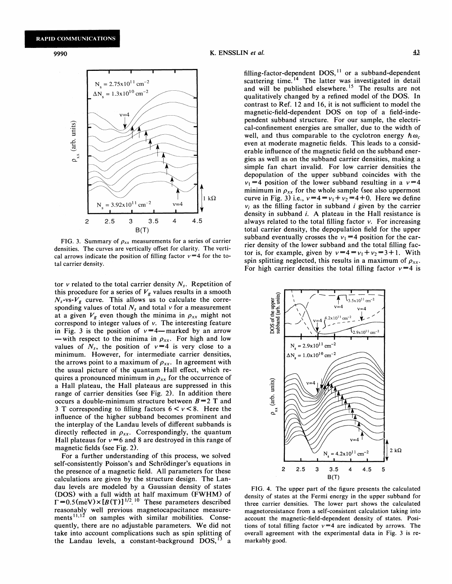9990 K. ENSSLIN et al.



FIG. 3. Summary of  $\rho_{xx}$  measurements for a series of carrier densities. The curves are vertically offset for clarity. The vertical arrows indicate the position of filling factor  $v=4$  for the total carrier density.

tor v related to the total carrier density  $N<sub>s</sub>$ . Repetition of this procedure for a series of  $V_g$  values results in a smooth  $N_s$ -vs- $V_g$  curve. This allows us to calculate the corresponding values of total  $N_s$  and total  $v$  for a measurement at a given  $V_g$  even though the minima in  $\rho_{xx}$  might not correspond to integer values of v. The interesting feature<br>in Fig. 3 is the position of  $v=4$ —marked by an arrow<br>—with respect to the minima in  $\rho_{xx}$ . For high and low - with respect to the minima in  $\rho_{xx}$ . For high and low values of  $N_s$ , the position of  $v = 4$  is very close to a minimum. However, for intermediate carrier densities, the arrows point to a maximum of  $\rho_{xx}$ . In agreement with the usual picture of the quantum Hall effect, which requires a pronounced minimum in  $\rho_{xx}$  for the occurrence of a Hall plateau, the Hall plateaus are suppressed in this range of carrier densities (see Fig. 2). In addition there occurs a double-minimum structure between  $B=2$  T and 3 T corresponding to filling factors  $6 < v < 8$ . Here the influence of the higher subband becomes prominent and the interplay of the Landau levels of different subbands is directly reflected in  $\rho_{xx}$ . Correspondingly, the quantum Hall plateaus for  $v = 6$  and 8 are destroyed in this range of magnetic fields (see Fig. 2).

For a further understanding of this process, we solved self-consistently Poisson's and Schrödinger's equations in the presence of a magnetic field. All parameters for these calculations are given by the structure design. The Landau levels are modeled by a Gaussian density of states (DOS) with a full width at half maximum (FWHM) of  $\Gamma = 0.5$ (meV) $\times [B(T)]^{1/2}$ .<sup>10</sup> These parameters described reasonably well previous magnetocapacitance measurements<sup>11,12</sup> on samples with similar mobilities. Consequently, there are no adjustable parameters. We did not take into account complications such as spin splitting of the Landau levels, a constant-background  $DOS<sub>1</sub>$ a

illing-factor-dependent DOS,<sup>11</sup> or a subband-depende scattering time.<sup>14</sup> The latter was investigated in detail and will be published elsewhere.<sup>15</sup> The results are not qualitatively changed by a refined model of the DOS. In contrast to Ref. 12 and 16, it is not sufficient to model the magnetic-field-dependent DOS on top of a field-independent subband structure. For our sample, the electrical-confinement energies are smaller, due to the width of well, and thus comparable to the cyclotron energy  $\hbar \omega_c$ even at moderate magnetic fields. This leads to a considerable infiuence of the magnetic field on the subband energies as well as on the subband carrier densities, making a simple fan chart invalid. For low carrier densities the depopulation of the upper subband coincides with the  $v_1 = 4$  position of the lower subband resulting in a  $v=4$ minimum in  $\rho_{xx}$  for the whole sample (see also uppermost curve in Fig. 3) i.e.,  $v=4 = v_1 + v_2 = 4 + 0$ . Here we define  $v_i$  as the filling factor in subband i given by the carrier density in subband i. A plateau in the Hall resistance is always related to the total filling factor  $v$ . For increasing total carrier density, the depopulation field for the upper subband eventually crosses the  $v_1 = 4$  position for the carrier density of the lower subband and the total filling factor is, for example, given by  $v=4=v_1+v_2=3+1$ . With spin splitting neglected, this results in a maximum of  $\rho_{xx}$ . For high carrier densities the total filling factor  $v=4$  is



FIG. 4. The upper part of the figure presents the calculated density of states at the Fermi energy in the upper subband for three carrier densities. The lower part shows the calculated magnetoresistance from a self-consistent calculation taking into account the magnetic-field-dependent density of states. Positions of total filling factor  $v=4$  are indicated by arrows. The overall agreement with the experimental data in Fig. 3 is remarkably good.